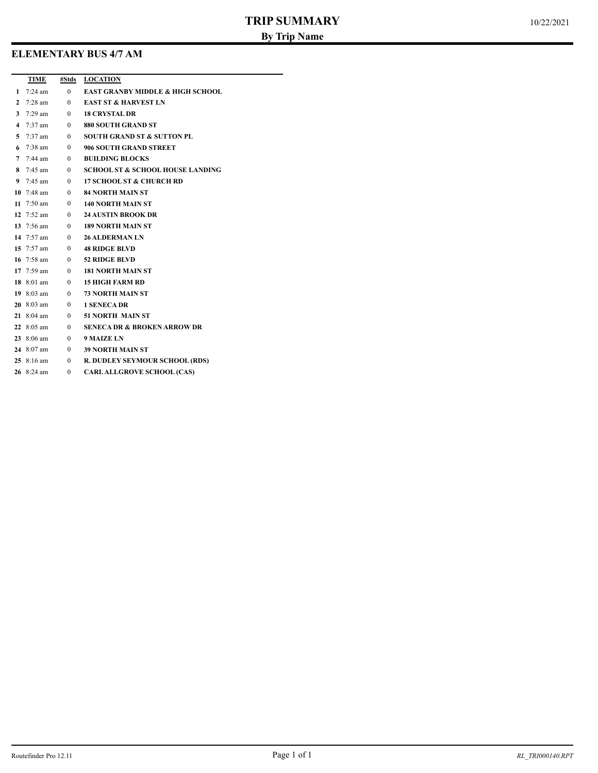# **ELEMENTARY BUS 4/7 AM**

|              | TIME                 |                          | #Stds LOCATION                              |
|--------------|----------------------|--------------------------|---------------------------------------------|
|              | 1 $7:24 \text{ am}$  | $\mathbf{0}$             | <b>EAST GRANBY MIDDLE &amp; HIGH SCHOOL</b> |
| $\mathbf{2}$ | $7:28$ am            | $\theta$                 | <b>EAST ST &amp; HARVEST LN</b>             |
| 3            | $7:29 \text{ am}$    | $\overline{0}$           | <b>18 CRYSTAL DR</b>                        |
|              | 4 $7:37$ am          | $\theta$                 | 880 SOUTH GRAND ST                          |
|              | 5 $7:37$ am          | $\overline{\mathbf{0}}$  | <b>SOUTH GRAND ST &amp; SUTTON PL</b>       |
|              | 6 $7:38$ am          | $\overline{\phantom{0}}$ | 906 SOUTH GRAND STREET                      |
|              | 7 $7:44 \text{ am}$  | $\overline{\mathbf{0}}$  | <b>BUILDING BLOCKS</b>                      |
|              | 8 $7:45$ am          | $\overline{\phantom{0}}$ | <b>SCHOOL ST &amp; SCHOOL HOUSE LANDING</b> |
|              | 9 $7:45 \text{ am}$  | $\sim$ 0                 | <b>17 SCHOOL ST &amp; CHURCH RD</b>         |
|              | 10 $7:48$ am         |                          | <b>84 NORTH MAIN ST</b>                     |
|              | 11 $7:50 \text{ am}$ | $\overline{\phantom{0}}$ | <b>140 NORTH MAIN ST</b>                    |
|              | 12 $7:52 \text{ am}$ | $\overline{\phantom{0}}$ | <b>24 AUSTIN BROOK DR</b>                   |
|              | 13 7:56 am           | $\overline{\phantom{0}}$ | 189 NORTH MAIN ST                           |
|              | 14 $7:57$ am         | $\overline{\mathbf{0}}$  | <b>26 ALDERMAN LN</b>                       |
|              | 15 $7:57$ am         | $\overline{\phantom{0}}$ | <b>48 RIDGE BLVD</b>                        |
|              | 16 $7:58$ am         | $\overline{\mathbf{0}}$  | <b>52 RIDGE BLVD</b>                        |
|              | 17 $7:59$ am         | $\overline{\phantom{0}}$ | <b>181 NORTH MAIN ST</b>                    |
|              | 18 8:01 am           | $\overline{\phantom{0}}$ | 15 HIGH FARM RD                             |
|              | 19 $8:03$ am         | $\overline{\phantom{0}}$ | <b>73 NORTH MAIN ST</b>                     |
|              | $20\;8:03\;am$       | $\overline{\phantom{0}}$ | <b>1 SENECA DR</b>                          |
|              | 21 $8:04$ am         | $\overline{\phantom{0}}$ | <b>51 NORTH MAIN ST</b>                     |
|              | 22 $8:05$ am         | $\overline{\mathbf{0}}$  | <b>SENECA DR &amp; BROKEN ARROW DR</b>      |
|              | 23 $8:06$ am         | $\overline{\mathbf{0}}$  | 9 MAIZE LN                                  |
|              | 24 8:07 am           | $\overline{0}$           | <b>39 NORTH MAIN ST</b>                     |
|              | $25 \t8:16 am$       | $\overline{\phantom{0}}$ | R. DUDLEY SEYMOUR SCHOOL (RDS)              |
|              | 26 8:24 am           | $\theta$                 | <b>CARL ALLGROVE SCHOOL (CAS)</b>           |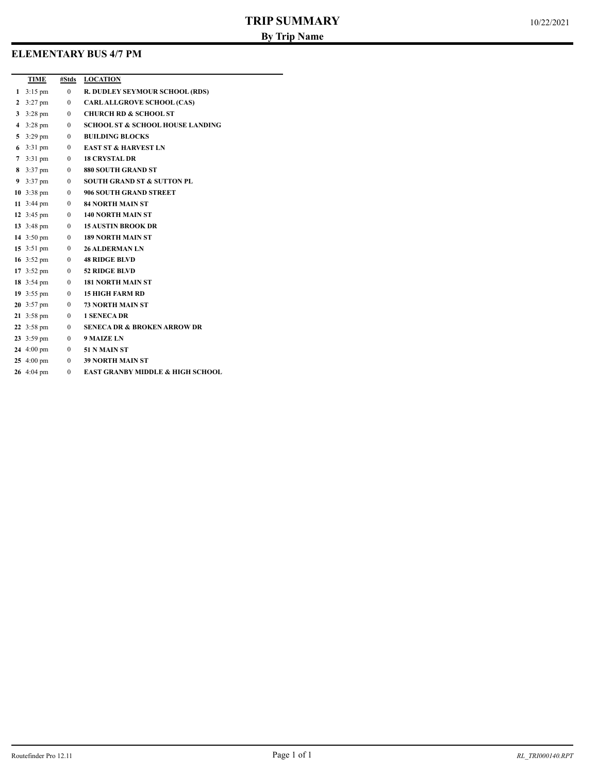## **ELEMENTARY BUS 4/7 PM**

|                | TIME                         | #Stds        | <b>LOCATION</b>                             |
|----------------|------------------------------|--------------|---------------------------------------------|
|                | 1 $3:15 \text{ pm}$          | $\mathbf{0}$ | <b>R. DUDLEY SEYMOUR SCHOOL (RDS)</b>       |
|                | 2 $3:27 \text{ pm}$          | $\mathbf{0}$ | <b>CARLALLGROVE SCHOOL (CAS)</b>            |
| 3              | $3:28 \text{ pm}$            | $\mathbf{0}$ | <b>CHURCH RD &amp; SCHOOL ST</b>            |
| $\overline{4}$ | $3:28 \text{ pm}$            | $\mathbf{0}$ | <b>SCHOOL ST &amp; SCHOOL HOUSE LANDING</b> |
|                | 5 $3:29 \text{ pm}$          | $\mathbf{0}$ | <b>BUILDING BLOCKS</b>                      |
|                | 6 $3:31 \text{ pm}$          | $\mathbf{0}$ | <b>EAST ST &amp; HARVEST LN</b>             |
|                | 7 $3:31 \text{ pm}$          | $\mathbf{0}$ | <b>18 CRYSTAL DR</b>                        |
|                | 8 3:37 pm $0$                |              | 880 SOUTH GRAND ST                          |
|                | 9 $3:37 \text{ pm}$          | $\mathbf{0}$ | <b>SOUTH GRAND ST &amp; SUTTON PL</b>       |
|                | 10 $3:38 \text{ pm}$         | $\mathbf{0}$ | 906 SOUTH GRAND STREET                      |
|                | 11 $3:44 \text{ pm}$         | $\mathbf{0}$ | <b>84 NORTH MAIN ST</b>                     |
|                | 12 $3:45 \text{ pm}$         | $\mathbf{0}$ | <b>140 NORTH MAIN ST</b>                    |
|                | 13 3:48 pm $\qquad \qquad 0$ |              | <b>15 AUSTIN BROOK DR</b>                   |
|                | 14 $3:50 \text{ pm}$         | $\mathbf{0}$ | <b>189 NORTH MAIN ST</b>                    |
|                | 15 $3:51 \text{ pm}$         | $\mathbf{0}$ | <b>26 ALDERMAN LN</b>                       |
|                | 16 3:52 pm $0$               |              | <b>48 RIDGE BLVD</b>                        |
|                | 17 $3:52 \text{ pm}$         | $\mathbf{0}$ | <b>52 RIDGE BLVD</b>                        |
|                | 18 $3:54 \text{ pm}$         | $\mathbf{0}$ | <b>181 NORTH MAIN ST</b>                    |
|                | 19 $3:55 \text{ pm}$         | $\mathbf{0}$ | <b>15 HIGH FARM RD</b>                      |
|                | 20 $3:57 \text{ pm}$         | $\mathbf{0}$ | <b>73 NORTH MAIN ST</b>                     |
|                | 21 3:58 pm $\qquad \qquad 0$ |              | <b>1 SENECA DR</b>                          |
|                | 22 $3:58 \text{ pm}$         | $\mathbf{0}$ | <b>SENECA DR &amp; BROKEN ARROW DR</b>      |
|                | 23 $3:59 \text{ pm}$         | $\mathbf{0}$ | <b>9 MAIZE LN</b>                           |
|                | 24 4:00 pm $\qquad 0$        |              | 51 N MAIN ST                                |
|                | 25 $4:00 \text{ pm}$         |              | 0 39 NORTH MAIN ST                          |
|                | 26 4:04 pm                   | $\theta$     | EAST GRANBY MIDDLE & HIGH SCHOOL            |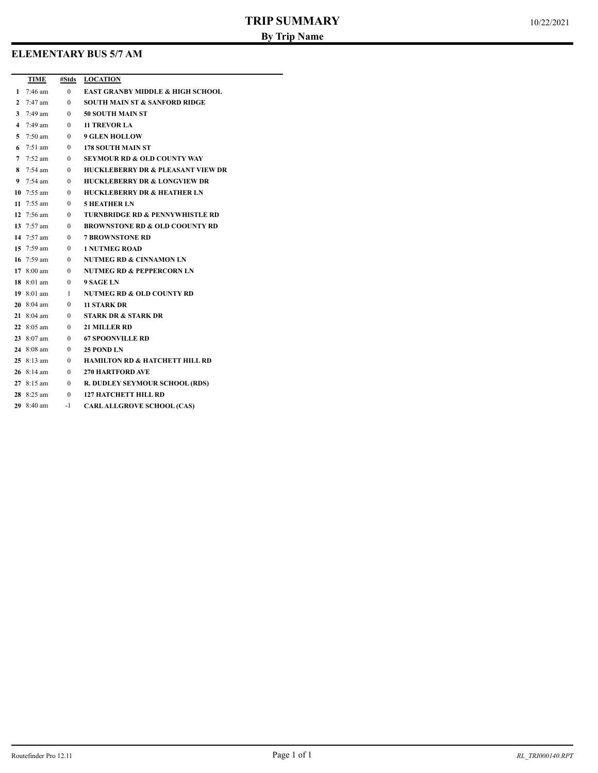# **ELEMENTARY BUS 5/7 AM**

|            | TIME #Stds LOCATION                           |
|------------|-----------------------------------------------|
|            | 1 7:46 am 0 EAST GRANBY MIDDLE & HIGH SCHOOL  |
|            | 2 7:47 am 0 SOUTH MAIN ST & SANFORD RIDGE     |
|            | 3 7:49 am 0 50 SOUTH MAIN ST                  |
|            | 4 7:49 am 0 11 TREVOR LA                      |
|            | 5 7:50 am 0 9 GLEN HOLLOW                     |
|            | 6 7:51 am 0 178 SOUTH MAIN ST                 |
|            | 7 7:52 am 0 SEYMOUR RD & OLD COUNTY WAY       |
|            | 8 7:54 am 0 HUCKLEBERRY DR & PLEASANT VIEW DR |
|            | 9 7:54 am 0 HUCKLEBERRY DR & LONGVIEW DR      |
|            | 10 7:55 am 0 HUCKLEBERRY DR & HEATHER LN      |
|            | 11 7:55 am 0 5 HEATHER LN                     |
|            | 12 7:56 am 0 TURNBRIDGE RD & PENNYWHISTLE RD  |
|            | 13 7:57 am 0 BROWNSTONE RD & OLD COOUNTY RD   |
|            | 14 7:57 am 0 7 BROWNSTONE RD                  |
|            | 15 7:59 am 0 1 NUTMEG ROAD                    |
|            | 16 7:59 am 0 NUTMEG RD & CINNAMON LN          |
|            | 17 8:00 am 0 NUTMEG RD & PEPPERCORN LN        |
|            | 18 8:01 am 0 9 SAGE LN                        |
|            | 19 8:01 am 1 NUTMEG RD & OLD COUNTY RD        |
|            | 20 8:04 am 0 11 STARK DR                      |
|            | 21 8:04 am 0 STARK DR & STARK DR              |
|            | 22 8:05 am 0 21 MILLER RD                     |
|            | 23 8:07 am 0 67 SPOONVILLE RD                 |
|            | 24 8:08 am 0 25 POND LN                       |
|            | 25 8:13 am 0 HAMILTON RD & HATCHETT HILL RD   |
|            | 26 8:14 am 0 270 HARTFORD AVE                 |
|            | 27 8:15 am 0 R. DUDLEY SEYMOUR SCHOOL (RDS)   |
|            | 28 8:25 am 0 127 HATCHETT HILL RD             |
| 29 8:40 am | -1 CARLALLGROVE SCHOOL (CAS)                  |
|            |                                               |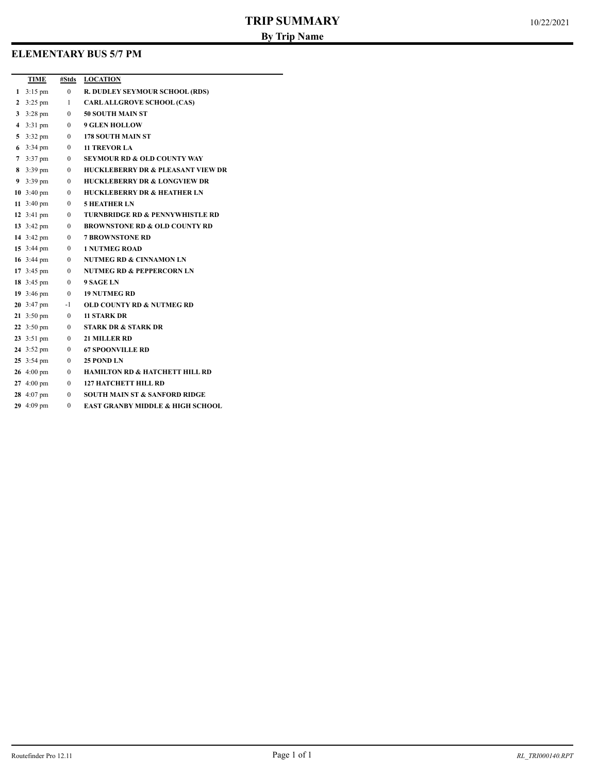# **ELEMENTARY BUS 5/7 PM**

|              | TIME                 | #Stds          | <b>LOCATION</b>                              |
|--------------|----------------------|----------------|----------------------------------------------|
| 1            | $3:15 \text{ pm}$    | $\overline{0}$ | <b>R. DUDLEY SEYMOUR SCHOOL (RDS)</b>        |
| $\mathbf{2}$ | $3:25$ pm            | 1              | <b>CARLALLGROVE SCHOOL (CAS)</b>             |
| 3            | $3:28 \text{ pm}$    | $\mathbf{0}$   | <b>50 SOUTH MAIN ST</b>                      |
| 4            | $3:31$ pm            | $\bf{0}$       | <b>9 GLEN HOLLOW</b>                         |
| 5            | $3:32 \text{ pm}$    | $\Omega$       | <b>178 SOUTH MAIN ST</b>                     |
| 6            | $3:34 \text{ pm}$    | $\Omega$       | <b>11 TREVOR LA</b>                          |
| 7            | $3:37$ pm            | $\bf{0}$       | <b>SEYMOUR RD &amp; OLD COUNTY WAY</b>       |
|              | 8 $3:39 \text{ pm}$  | $\mathbf{0}$   | <b>HUCKLEBERRY DR &amp; PLEASANT VIEW DR</b> |
| 9            | $3:39$ pm            | $\mathbf{0}$   | <b>HUCKLEBERRY DR &amp; LONGVIEW DR</b>      |
|              | 10 $3:40 \text{ pm}$ | $\mathbf{0}$   | <b>HUCKLEBERRY DR &amp; HEATHER LN</b>       |
|              | 11 $3:40 \text{ pm}$ | 0              | <b>5 HEATHER LN</b>                          |
|              | 12 $3:41 \text{ pm}$ | $\mathbf{0}$   | <b>TURNBRIDGE RD &amp; PENNYWHISTLE RD</b>   |
|              | 13 $3:42 \text{ pm}$ | $\mathbf{0}$   | <b>BROWNSTONE RD &amp; OLD COUNTY RD</b>     |
|              | 14 3:42 pm           | $\mathbf{0}$   | <b>7 BROWNSTONE RD</b>                       |
|              | 15 $3:44 \text{ pm}$ | $\mathbf{0}$   | <b>1 NUTMEG ROAD</b>                         |
|              | 16 $3:44 \text{ pm}$ | $\mathbf{0}$   | <b>NUTMEG RD &amp; CINNAMON LN</b>           |
|              | 17 $3:45 \text{ pm}$ | $\mathbf{0}$   | <b>NUTMEG RD &amp; PEPPERCORN LN</b>         |
|              | 18 $3:45 \text{ pm}$ | $\mathbf{0}$   | 9 SAGE LN                                    |
|              | 19 $3:46 \text{ pm}$ | $\bf{0}$       | <b>19 NUTMEG RD</b>                          |
|              | 20 $3:47 \text{ pm}$ | $-1$           | <b>OLD COUNTY RD &amp; NUTMEG RD</b>         |
|              | 21 $3:50 \text{ pm}$ | $\mathbf{0}$   | <b>11 STARK DR</b>                           |
|              | 22 $3:50 \text{ pm}$ | $\mathbf{0}$   | <b>STARK DR &amp; STARK DR</b>               |
|              | 23 3:51 pm           | $\mathbf{0}$   | <b>21 MILLER RD</b>                          |
|              | 24 3:52 pm           | $\mathbf{0}$   | <b>67 SPOONVILLE RD</b>                      |
|              | 25 3:54 pm           | $\bf{0}$       | 25 POND LN                                   |
|              | 26 $4:00 \text{ pm}$ | $\bf{0}$       | <b>HAMILTON RD &amp; HATCHETT HILL RD</b>    |
|              | 27 $4:00 \text{ pm}$ | 0              | <b>127 HATCHETT HILL RD</b>                  |
|              | 28 4:07 pm           | 0              | SOUTH MAIN ST & SANFORD RIDGE                |
|              | 29 4:09 pm           | $\theta$       | <b>EAST GRANBY MIDDLE &amp; HIGH SCHOOL</b>  |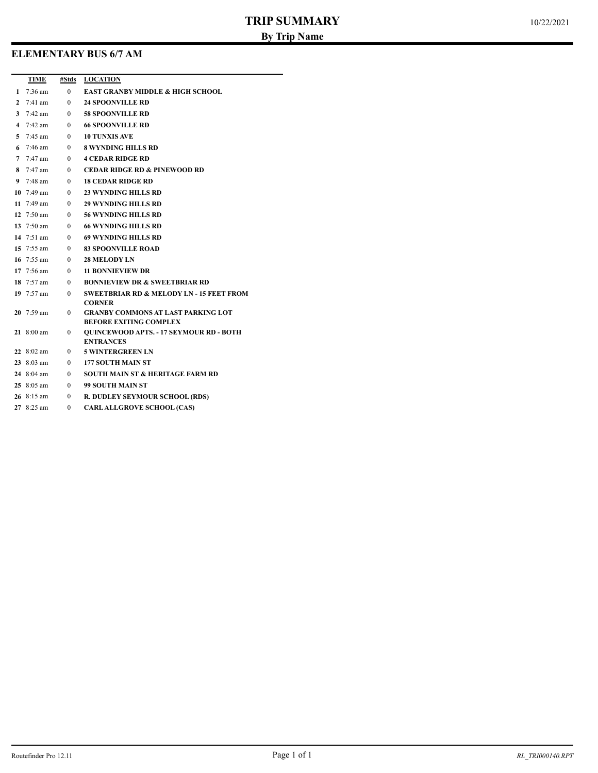# **ELEMENTARY BUS 6/7 AM**

|              | TIME                          | #Stds        | <b>LOCATION</b>                                                                 |
|--------------|-------------------------------|--------------|---------------------------------------------------------------------------------|
| 1            | $7:36$ am                     | $\Omega$     | <b>EAST GRANBY MIDDLE &amp; HIGH SCHOOL</b>                                     |
| $\mathbf{2}$ | $7:41$ am                     | $\Omega$     | <b>24 SPOONVILLE RD</b>                                                         |
| 3            | $7:42 \text{ am}$             | $\Omega$     | <b>58 SPOONVILLE RD</b>                                                         |
|              | 4 7:42 am                     | $\theta$     | <b>66 SPOONVILLE RD</b>                                                         |
|              | 5 $7:45$ am                   | $\Omega$     | <b>10 TUNXIS AVE</b>                                                            |
|              | 6 $7:46 \text{ am}$           | $\Omega$     | <b>8 WYNDING HILLS RD</b>                                                       |
|              | 7 $7:47$ am                   | $\mathbf{0}$ | <b>4 CEDAR RIDGE RD</b>                                                         |
|              | 8 $7:47$ am                   | $\theta$     | <b>CEDAR RIDGE RD &amp; PINEWOOD RD</b>                                         |
|              | 9 $7:48$ am                   | $\mathbf{0}$ | <b>18 CEDAR RIDGE RD</b>                                                        |
|              | 10 $7:49 \text{ am}$          | $\Omega$     | 23 WYNDING HILLS RD                                                             |
|              | 11 $7:49$ am                  | $\Omega$     | <b>29 WYNDING HILLS RD</b>                                                      |
|              | 12 $7:50 \text{ am}$          | $\Omega$     | <b>56 WYNDING HILLS RD</b>                                                      |
|              | 13 $7:50$ am                  | $\Omega$     | <b>66 WYNDING HILLS RD</b>                                                      |
|              | 14 $7:51$ am                  | $\Omega$     | <b>69 WYNDING HILLS RD</b>                                                      |
|              | 15 $7:55$ am                  | $\theta$     | <b>83 SPOONVILLE ROAD</b>                                                       |
|              | 16 $7:55$ am                  | $\theta$     | <b>28 MELODY LN</b>                                                             |
|              | 17 $7:56$ am                  | $\Omega$     | <b>11 BONNIEVIEW DR</b>                                                         |
|              | 18 $7:57 \text{ am}$          | $\Omega$     | <b>BONNIEVIEW DR &amp; SWEETBRIAR RD</b>                                        |
|              | 19 $7:57$ am                  | $\theta$     | <b>SWEETBRIAR RD &amp; MELODY LN - 15 FEET FROM</b>                             |
|              |                               |              | <b>CORNER</b>                                                                   |
|              | 20 7:59 am                    | $\theta$     | <b>GRANBY COMMONS AT LAST PARKING LOT</b>                                       |
|              | 21 8:00 am                    | 0            | <b>BEFORE EXITING COMPLEX</b><br><b>QUINCEWOOD APTS. - 17 SEYMOUR RD - BOTH</b> |
|              |                               |              | <b>ENTRANCES</b>                                                                |
|              | 22 $8:02$ am                  | 0            | <b>5 WINTERGREEN LN</b>                                                         |
|              | 23 $8:03$ am                  | $\theta$     | <b>177 SOUTH MAIN ST</b>                                                        |
|              | 24 $8:04$ am                  | $\mathbf{0}$ | <b>SOUTH MAIN ST &amp; HERITAGE FARM RD</b>                                     |
|              | $25 \, 8:05 \, \text{am}$     | $\Omega$     | 99 SOUTH MAIN ST                                                                |
|              | $26 \text{ } 8:15 \text{ am}$ | $\Omega$     | <b>R. DUDLEY SEYMOUR SCHOOL (RDS)</b>                                           |
|              | 27 8:25 am                    | $\theta$     | <b>CARLALLGROVE SCHOOL (CAS)</b>                                                |
|              |                               |              |                                                                                 |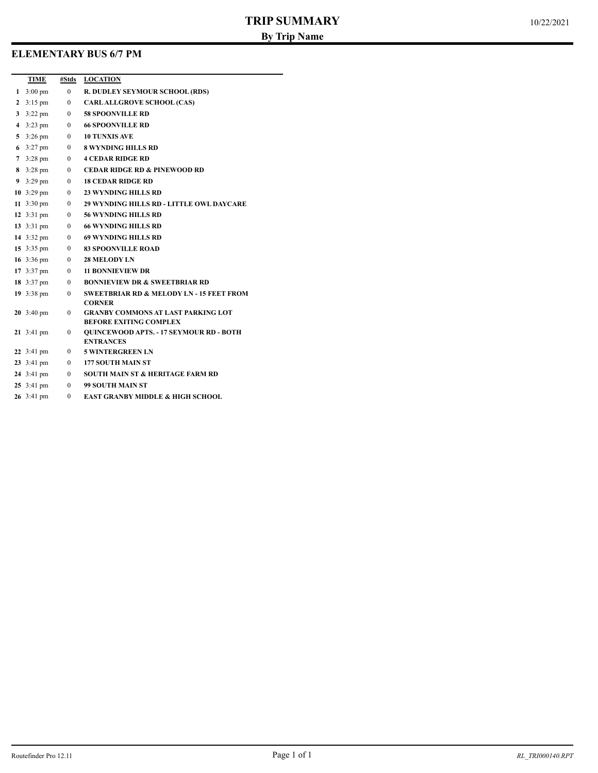## **ELEMENTARY BUS 6/7 PM**

|              | TIME                            | #Stds          | <b>LOCATION</b>                                                                 |
|--------------|---------------------------------|----------------|---------------------------------------------------------------------------------|
|              | 1 3:00 pm                       | $\overline{0}$ | R. DUDLEY SEYMOUR SCHOOL (RDS)                                                  |
| $\mathbf{2}$ | $3:15 \text{ pm}$               | $\overline{0}$ | <b>CARLALLGROVE SCHOOL (CAS)</b>                                                |
| 3            | $3:22 \text{ pm}$               | $\mathbf{0}$   | <b>58 SPOONVILLE RD</b>                                                         |
| 4            | $3:23 \text{ pm}$               | $\mathbf{0}$   | <b>66 SPOONVILLE RD</b>                                                         |
| 5            | $3:26 \text{ pm}$               | $\mathbf{0}$   | <b>10 TUNXIS AVE</b>                                                            |
|              | 6 $3:27 \text{ pm}$             | $\mathbf{0}$   | <b>8 WYNDING HILLS RD</b>                                                       |
| 7            | $3:28 \text{ pm}$               | $\overline{0}$ | <b>4 CEDAR RIDGE RD</b>                                                         |
| 8            | $3:28 \text{ pm}$               | $\overline{0}$ | <b>CEDAR RIDGE RD &amp; PINEWOOD RD</b>                                         |
|              | 9 $3:29 \text{ pm}$             | $\mathbf{0}$   | <b>18 CEDAR RIDGE RD</b>                                                        |
|              | 10 $3:29 \text{ pm}$            | $\mathbf{0}$   | <b>23 WYNDING HILLS RD</b>                                                      |
|              | 11 $3:30 \text{ pm}$            | $\overline{0}$ | <b>29 WYNDING HILLS RD - LITTLE OWL DAYCARE</b>                                 |
|              | 12 $3:31 \text{ pm}$            | $\overline{0}$ | <b>56 WYNDING HILLS RD</b>                                                      |
|              | 13 $3:31 \text{ pm}$            | $\mathbf{0}$   | <b>66 WYNDING HILLS RD</b>                                                      |
|              | 14 $3:32 \text{ pm}$            | $\mathbf{0}$   | <b>69 WYNDING HILLS RD</b>                                                      |
|              | 15 $3:35 \text{ pm}$            | $\overline{0}$ | <b>83 SPOONVILLE ROAD</b>                                                       |
|              | 16 $3:36 \text{ pm}$            | $\mathbf{0}$   | <b>28 MELODY LN</b>                                                             |
|              | 17 $3:37 \text{ pm}$            | $\mathbf{0}$   | <b>11 BONNIEVIEW DR</b>                                                         |
|              | 18 $3:37 \text{ pm}$            | $\mathbf{0}$   | <b>BONNIEVIEW DR &amp; SWEETBRIAR RD</b>                                        |
|              | 19 3:38 pm                      | $\mathbf{0}$   | <b>SWEETBRIAR RD &amp; MELODY LN - 15 FEET FROM</b>                             |
|              |                                 |                | <b>CORNER</b>                                                                   |
|              | $20 \t3:40 \text{ pm}$          | $\Omega$       | <b>GRANBY COMMONS AT LAST PARKING LOT</b>                                       |
|              | 21 3:41 pm                      | $\mathbf{0}$   | <b>BEFORE EXITING COMPLEX</b><br><b>QUINCEWOOD APTS. - 17 SEYMOUR RD - BOTH</b> |
|              |                                 |                | <b>ENTRANCES</b>                                                                |
|              | 22 $3:41 \text{ pm}$            | $\overline{0}$ | <b>5 WINTERGREEN LN</b>                                                         |
|              | 23 3:41 pm                      | $\mathbf{0}$   | <b>177 SOUTH MAIN ST</b>                                                        |
|              | 24 $3:41 \text{ pm}$            | $\mathbf{0}$   | <b>SOUTH MAIN ST &amp; HERITAGE FARM RD</b>                                     |
|              | $25 \frac{3:41 \text{ pm}}{25}$ | $\theta$       | 99 SOUTH MAIN ST                                                                |
|              | 26 3:41 pm                      | $\Omega$       | <b>EAST GRANBY MIDDLE &amp; HIGH SCHOOL</b>                                     |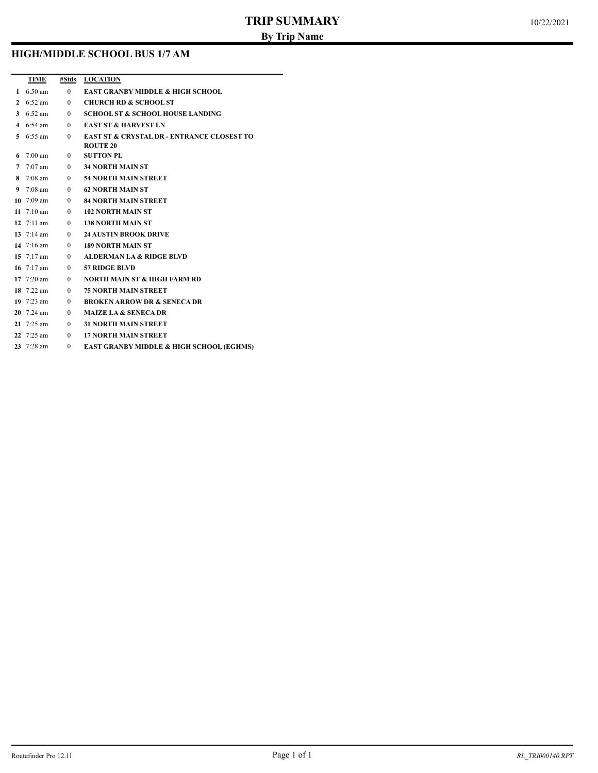## **HIGH/MIDDLE SCHOOL BUS 1/7 AM**

|   | TIME                 | #Stds          | <b>LOCATION</b>                                       |
|---|----------------------|----------------|-------------------------------------------------------|
|   | 1 $6:50 \text{ am}$  | $\mathbf{0}$   | <b>EAST GRANBY MIDDLE &amp; HIGH SCHOOL</b>           |
| 2 | $6:52$ am            | $\overline{0}$ | <b>CHURCH RD &amp; SCHOOL ST</b>                      |
|   | 3 $6:52 \text{ am}$  | $\mathbf{0}$   | <b>SCHOOL ST &amp; SCHOOL HOUSE LANDING</b>           |
|   | 4 $6:54 \text{ am}$  | $\mathbf{0}$   | <b>EAST ST &amp; HARVEST LN</b>                       |
|   | 5 $6:55$ am          | $\mathbf{0}$   | <b>EAST ST &amp; CRYSTAL DR - ENTRANCE CLOSEST TO</b> |
|   |                      |                | <b>ROUTE 20</b>                                       |
| 6 | $7:00$ am            | $\overline{0}$ | <b>SUTTON PL</b>                                      |
| 7 | $7:07$ am            | $\overline{0}$ | 34 NORTH MAIN ST                                      |
| 8 | $7:08$ am            | $\overline{0}$ | 54 NORTH MAIN STREET                                  |
| 9 | $7:08$ am            | $\theta$       | 62 NORTH MAIN ST                                      |
|   | 10 $7:09 \text{ am}$ | $\theta$       | 84 NORTH MAIN STREET                                  |
|   | 11 $7:10 \text{ am}$ | $\mathbf{0}$   | <b>102 NORTH MAIN ST</b>                              |
|   | 12 $7:11 \text{ am}$ | $\theta$       | <b>138 NORTH MAIN ST</b>                              |
|   | 13 $7:14 \text{ am}$ | $\theta$       | <b>24 AUSTIN BROOK DRIVE</b>                          |
|   | 14 $7:16 \text{ am}$ | $\mathbf{0}$   | <b>189 NORTH MAIN ST</b>                              |
|   | 15 $7:17 \text{ am}$ | $\theta$       | <b>ALDERMAN LA &amp; RIDGE BLVD</b>                   |
|   | 16 $7:17 \text{ am}$ | $\theta$       | 57 RIDGE BLVD                                         |
|   | 17 $7:20 \text{ am}$ | $\mathbf{0}$   | <b>NORTH MAIN ST &amp; HIGH FARM RD</b>               |
|   | 18 $7:22 \text{ am}$ | $\theta$       | <b>75 NORTH MAIN STREET</b>                           |
|   | 19 $7:23$ am         | $\mathbf{0}$   | <b>BROKEN ARROW DR &amp; SENECA DR</b>                |
|   | 20 $7:24 \text{ am}$ | $\theta$       | <b>MAIZE LA &amp; SENECA DR</b>                       |
|   | 21 $7:25$ am         | $\theta$       | <b>31 NORTH MAIN STREET</b>                           |
|   | 22 $7:25$ am         | $\theta$       | <b>17 NORTH MAIN STREET</b>                           |
|   | 23 $7:28$ am         | $\Omega$       | <b>EAST GRANBY MIDDLE &amp; HIGH SCHOOL (EGHMS)</b>   |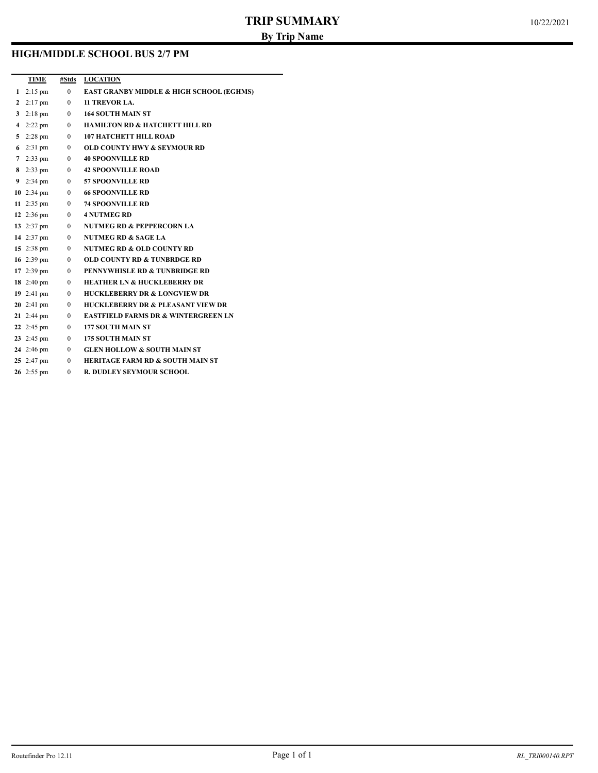# **HIGH/MIDDLE SCHOOL BUS 2/7 PM**

|              | TIME                         |                | #Stds LOCATION                                 |
|--------------|------------------------------|----------------|------------------------------------------------|
|              | 1 $2:15 \text{ pm}$          | $\mathbf{0}$   | EAST GRANBY MIDDLE & HIGH SCHOOL (EGHMS)       |
| $\mathbf{2}$ | $2:17 \text{ pm}$ 0          |                | 11 TREVOR LA.                                  |
| 3            | $2:18 \text{ pm} \qquad 0$   |                | <b>164 SOUTH MAIN ST</b>                       |
|              | 4 2:22 pm $\qquad 0$         |                | <b>HAMILTON RD &amp; HATCHETT HILL RD</b>      |
|              | 5 2:28 pm $0$                |                | <b>107 HATCHETT HILL ROAD</b>                  |
|              | 6 2:31 pm $0$                |                | <b>OLD COUNTY HWY &amp; SEYMOUR RD</b>         |
|              | 7 2:33 pm $0$                |                | <b>40 SPOONVILLE RD</b>                        |
|              |                              |                | 8 2:33 pm 0 42 SPOONVILLE ROAD                 |
|              | 9 2:34 pm $0$                |                | <b>57 SPOONVILLE RD</b>                        |
|              | 10 2:34 pm $0$               |                | <b>66 SPOONVILLE RD</b>                        |
|              | 11 2:35 pm $\qquad \qquad 0$ |                | <b>74 SPOONVILLE RD</b>                        |
|              |                              |                | 12 2:36 pm 0 4 NUTMEG RD                       |
|              | 13 2:37 pm $\qquad 0$        |                | <b>NUTMEG RD &amp; PEPPERCORN LA</b>           |
|              | 14 2:37 pm $\qquad 0$        |                | <b>NUTMEG RD &amp; SAGE LA</b>                 |
|              | 15 2:38 pm $0$               |                | <b>NUTMEG RD &amp; OLD COUNTY RD</b>           |
|              | 16 2:39 pm $\qquad \qquad 0$ |                | <b>OLD COUNTY RD &amp; TUNBRDGE RD</b>         |
|              | 17 2:39 pm $\qquad \qquad 0$ |                | <b>PENNYWHISLE RD &amp; TUNBRIDGE RD</b>       |
|              | 18 2:40 pm $\qquad 0$        |                | <b>HEATHER LN &amp; HUCKLEBERRY DR</b>         |
|              | 19 2:41 pm $\qquad 0$        |                | <b>HUCKLEBERRY DR &amp; LONGVIEW DR</b>        |
|              | <b>20</b> 2:41 pm $0$        |                | <b>HUCKLEBERRY DR &amp; PLEASANT VIEW DR</b>   |
|              | 21 2:44 pm $\qquad \qquad 0$ |                | <b>EASTFIELD FARMS DR &amp; WINTERGREEN LN</b> |
|              | 22 2:45 pm $\qquad \qquad 0$ |                | <b>177 SOUTH MAIN ST</b>                       |
|              | 23 2:45 pm 0                 |                | <b>175 SOUTH MAIN ST</b>                       |
|              | 24 2:46 pm $\qquad 0$        |                | <b>GLEN HOLLOW &amp; SOUTH MAIN ST</b>         |
|              | 25 $2:47 \text{ pm}$         | $\overline{0}$ | <b>HERITAGE FARM RD &amp; SOUTH MAIN ST</b>    |
|              | 26 2:55 pm                   | $\Omega$       | <b>R. DUDLEY SEYMOUR SCHOOL</b>                |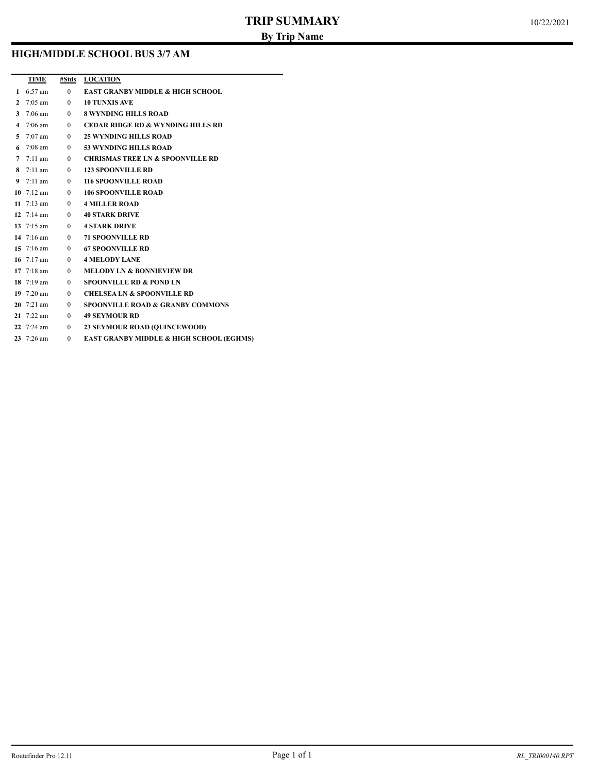### **HIGH/MIDDLE SCHOOL BUS 3/7 AM**

|                | TIME                 | #Stds          | <b>LOCATION</b>                                     |
|----------------|----------------------|----------------|-----------------------------------------------------|
| $\mathbf{1}$   | $6:57$ am            | $\mathbf{0}$   | <b>EAST GRANBY MIDDLE &amp; HIGH SCHOOL</b>         |
| $\mathbf{2}$   | $7:05$ am            | $\theta$       | <b>10 TUNXIS AVE</b>                                |
| 3              | $7:06$ am            | $\Omega$       | <b>8 WYNDING HILLS ROAD</b>                         |
| 4              | $7:06$ am            | $\overline{0}$ | <b>CEDAR RIDGE RD &amp; WYNDING HILLS RD</b>        |
| 5              | $7:07$ am            | $\mathbf{0}$   | <b>25 WYNDING HILLS ROAD</b>                        |
| 6              | $7:08$ am            | $\theta$       | <b>53 WYNDING HILLS ROAD</b>                        |
| $\overline{7}$ | $7:11$ am            | $\mathbf{0}$   | <b>CHRISMAS TREE LN &amp; SPOONVILLE RD</b>         |
| 8              | $7:11$ am            | $\theta$       | <b>123 SPOONVILLE RD</b>                            |
| 9              | $7:11$ am            | $\theta$       | <b>116 SPOONVILLE ROAD</b>                          |
|                | 10 $7:12 \text{ am}$ | $\mathbf{0}$   | <b>106 SPOONVILLE ROAD</b>                          |
|                | 11 $7:13 \text{ am}$ | $\Omega$       | <b>4 MILLER ROAD</b>                                |
|                | 12 $7:14 \text{ am}$ | $\theta$       | <b>40 STARK DRIVE</b>                               |
|                | 13 $7:15 \text{ am}$ | $\theta$       | <b>4 STARK DRIVE</b>                                |
|                | 14 $7:16 \text{ am}$ | $\mathbf{0}$   | <b>71 SPOONVILLE RD</b>                             |
|                | 15 $7:16 \text{ am}$ | $\theta$       | <b>67 SPOONVILLE RD</b>                             |
|                | 16 $7:17 \text{ am}$ | $\mathbf{0}$   | <b>4 MELODY LANE</b>                                |
|                | 17 $7:18 \text{ am}$ | $\theta$       | <b>MELODY LN &amp; BONNIEVIEW DR</b>                |
|                | 18 $7:19 \text{ am}$ | $\theta$       | <b>SPOONVILLE RD &amp; POND LN</b>                  |
|                | 19 $7:20 \text{ am}$ | $\mathbf{0}$   | <b>CHELSEA LN &amp; SPOONVILLE RD</b>               |
|                | $20$ 7:21 am         | $\Omega$       | <b>SPOONVILLE ROAD &amp; GRANBY COMMONS</b>         |
|                | 21 $7:22$ am         | $\Omega$       | <b>49 SEYMOUR RD</b>                                |
|                | 22 $7:24 \text{ am}$ | $\overline{0}$ | <b>23 SEYMOUR ROAD (QUINCEWOOD)</b>                 |
|                | 23 7:26 am           | $\Omega$       | <b>EAST GRANBY MIDDLE &amp; HIGH SCHOOL (EGHMS)</b> |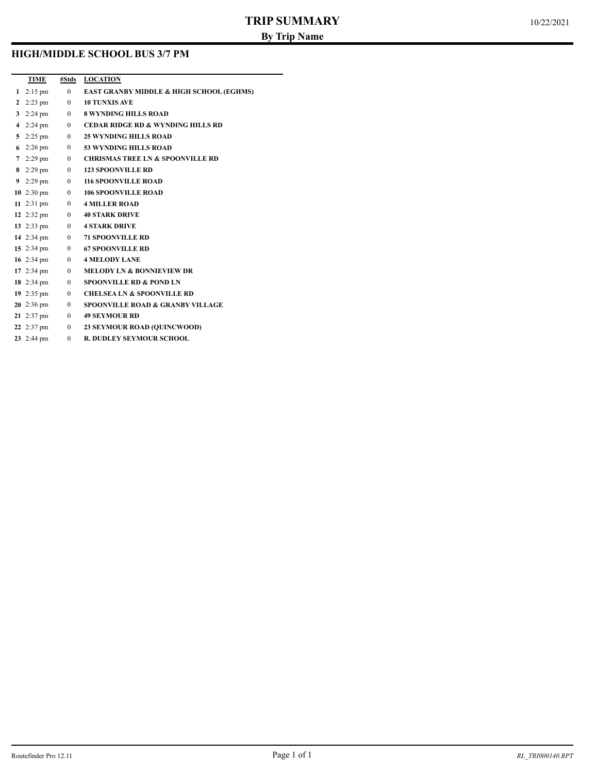### **HIGH/MIDDLE SCHOOL BUS 3/7 PM**

|                | <b>TIME</b>                  |              | #Stds LOCATION                                      |
|----------------|------------------------------|--------------|-----------------------------------------------------|
|                | 1 $2:15 \text{ pm}$          | $\mathbf{0}$ | <b>EAST GRANBY MIDDLE &amp; HIGH SCHOOL (EGHMS)</b> |
| $\overline{2}$ | $2:23 \text{ pm} 0$          |              | <b>10 TUNXIS AVE</b>                                |
|                | 3 2:24 pm $0$                |              | <b>8 WYNDING HILLS ROAD</b>                         |
|                | 4 2:24 pm $0$                |              | <b>CEDAR RIDGE RD &amp; WYNDING HILLS RD</b>        |
|                | 5 2:25 pm $0$                |              | <b>25 WYNDING HILLS ROAD</b>                        |
|                | 6 2:26 pm $0$                |              | <b>53 WYNDING HILLS ROAD</b>                        |
|                | 7 2:29 pm $0$                |              | <b>CHRISMAS TREE LN &amp; SPOONVILLE RD</b>         |
|                | 8 2:29 pm $0$                |              | <b>123 SPOONVILLE RD</b>                            |
|                | 9 2:29 pm $0$                |              | <b>116 SPOONVILLE ROAD</b>                          |
|                | 10 2:30 pm $\qquad 0$        |              | <b>106 SPOONVILLE ROAD</b>                          |
|                | 11 2:31 pm $\qquad \qquad 0$ |              | <b>4 MILLER ROAD</b>                                |
|                |                              |              | 12 2:32 pm 0 40 STARK DRIVE                         |
|                |                              |              | 13 2:33 pm 0 4 STARK DRIVE                          |
|                | 14 2:34 pm $0$               |              | <b>71 SPOONVILLE RD</b>                             |
|                | 15 2:34 pm $0$               |              | <b>67 SPOONVILLE RD</b>                             |
|                | 16 2:34 pm $0$               |              | <b>4 MELODY LANE</b>                                |
|                | 17 2:34 pm $0$               |              | <b>MELODY LN &amp; BONNIEVIEW DR</b>                |
|                | 18 2:34 pm $0$               |              | <b>SPOONVILLE RD &amp; POND LN</b>                  |
|                | 19 2:35 pm $\qquad \qquad 0$ |              | <b>CHELSEA LN &amp; SPOONVILLE RD</b>               |
|                | 20 2:36 pm $\qquad 0$        |              | <b>SPOONVILLE ROAD &amp; GRANBY VILLAGE</b>         |
|                | 21 2:37 pm $0$               |              | <b>49 SEYMOUR RD</b>                                |
|                | 22 2:37 pm $\qquad \qquad 0$ |              | <b>23 SEYMOUR ROAD (QUINCWOOD)</b>                  |
|                | 23 2:44 pm                   | $\mathbf{0}$ | <b>R. DUDLEY SEYMOUR SCHOOL</b>                     |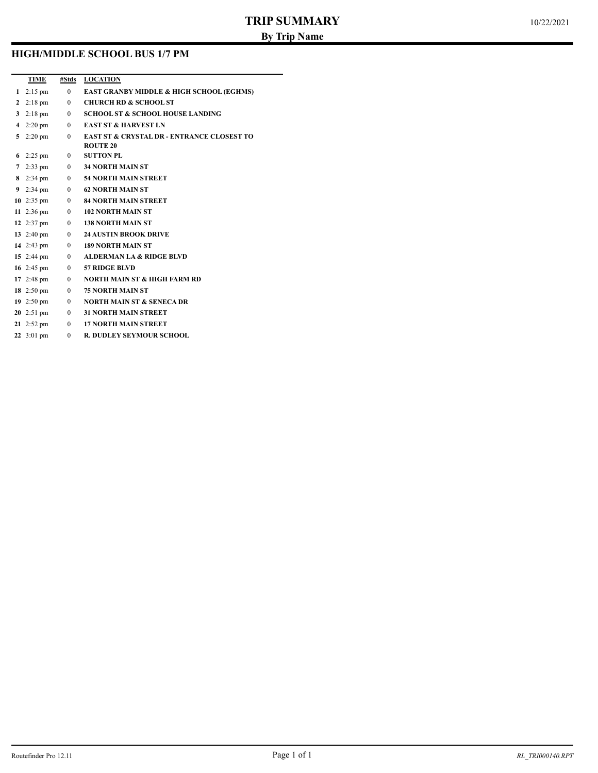### **HIGH/MIDDLE SCHOOL BUS 1/7 PM**

|              | TIME                 | #Stds          | <b>LOCATION</b>                                       |
|--------------|----------------------|----------------|-------------------------------------------------------|
| $\mathbf{1}$ | $2:15$ pm            | $\mathbf{0}$   | <b>EAST GRANBY MIDDLE &amp; HIGH SCHOOL (EGHMS)</b>   |
| $\mathbf{2}$ | $2:18$ pm            | $\mathbf{0}$   | <b>CHURCH RD &amp; SCHOOL ST</b>                      |
| 3            | $2:18$ pm            | $\mathbf{0}$   | <b>SCHOOL ST &amp; SCHOOL HOUSE LANDING</b>           |
|              | 4 $2:20 \text{ pm}$  | $\overline{0}$ | <b>EAST ST &amp; HARVEST LN</b>                       |
| 5            | $2:20 \text{ pm}$    | $\theta$       | <b>EAST ST &amp; CRYSTAL DR - ENTRANCE CLOSEST TO</b> |
|              |                      |                | <b>ROUTE 20</b>                                       |
| 6            | $2:25 \text{ pm}$    | $\mathbf{0}$   | <b>SUTTON PL</b>                                      |
|              | 7 $2:33 \text{ pm}$  | $\mathbf{0}$   | <b>34 NORTH MAIN ST</b>                               |
|              | 8 2:34 pm            | $\mathbf{0}$   | <b>54 NORTH MAIN STREET</b>                           |
|              | 9 $2:34 \text{ pm}$  | $\overline{0}$ | <b>62 NORTH MAIN ST</b>                               |
|              | 10 $2:35$ pm         | $\overline{0}$ | <b>84 NORTH MAIN STREET</b>                           |
|              | 11 $2:36 \text{ pm}$ | $\overline{0}$ | <b>102 NORTH MAIN ST</b>                              |
|              | 12 $2:37 \text{ pm}$ | $\mathbf{0}$   | <b>138 NORTH MAIN ST</b>                              |
|              | 13 $2:40 \text{ pm}$ | $\overline{0}$ | <b>24 AUSTIN BROOK DRIVE</b>                          |
|              | 14 $2:43 \text{ pm}$ | $\overline{0}$ | <b>189 NORTH MAIN ST</b>                              |
|              | 15 2:44 pm           | $\overline{0}$ | <b>ALDERMAN LA &amp; RIDGE BLVD</b>                   |
|              | 16 $2:45 \text{ pm}$ | $\Omega$       | 57 RIDGE BLVD                                         |
|              | 17 $2:48 \text{ pm}$ | $\mathbf{0}$   | <b>NORTH MAIN ST &amp; HIGH FARM RD</b>               |
|              | 18 $2:50 \text{ pm}$ | $\mathbf{0}$   | <b>75 NORTH MAIN ST</b>                               |
|              | 19 $2:50 \text{ pm}$ | $\overline{0}$ | <b>NORTH MAIN ST &amp; SENECA DR</b>                  |
|              | 20 $2:51 \text{ pm}$ | $\overline{0}$ | <b>31 NORTH MAIN STREET</b>                           |
|              | 21 $2:52 \text{ pm}$ | $\theta$       | <b>17 NORTH MAIN STREET</b>                           |
|              | 22 $3:01 \text{ pm}$ | $\theta$       | <b>R. DUDLEY SEYMOUR SCHOOL</b>                       |